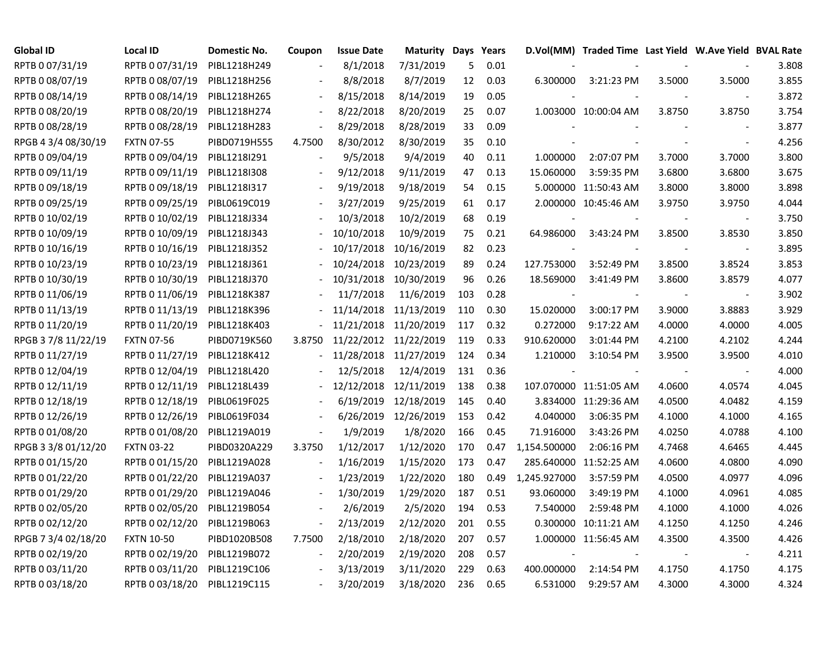| <b>Global ID</b>    | <b>Local ID</b>   | <b>Domestic No.</b> | Coupon         | <b>Issue Date</b>     | <b>Maturity Days Years</b> |     |      |              | D.Vol(MM) Traded Time Last Yield W.Ave Yield BVAL Rate |        |                          |       |
|---------------------|-------------------|---------------------|----------------|-----------------------|----------------------------|-----|------|--------------|--------------------------------------------------------|--------|--------------------------|-------|
| RPTB 0 07/31/19     | RPTB 0 07/31/19   | PIBL1218H249        |                | 8/1/2018              | 7/31/2019                  | 5   | 0.01 |              |                                                        |        |                          | 3.808 |
| RPTB 0 08/07/19     | RPTB 0 08/07/19   | PIBL1218H256        |                | 8/8/2018              | 8/7/2019                   | 12  | 0.03 | 6.300000     | 3:21:23 PM                                             | 3.5000 | 3.5000                   | 3.855 |
| RPTB 0 08/14/19     | RPTB 0 08/14/19   | PIBL1218H265        |                | 8/15/2018             | 8/14/2019                  | 19  | 0.05 |              |                                                        |        |                          | 3.872 |
| RPTB 0 08/20/19     | RPTB 0 08/20/19   | PIBL1218H274        |                | 8/22/2018             | 8/20/2019                  | 25  | 0.07 |              | 1.003000 10:00:04 AM                                   | 3.8750 | 3.8750                   | 3.754 |
| RPTB 0 08/28/19     | RPTB 0 08/28/19   | PIBL1218H283        |                | 8/29/2018             | 8/28/2019                  | 33  | 0.09 |              |                                                        |        | $\overline{\phantom{a}}$ | 3.877 |
| RPGB 4 3/4 08/30/19 | <b>FXTN 07-55</b> | PIBD0719H555        | 4.7500         | 8/30/2012             | 8/30/2019                  | 35  | 0.10 |              |                                                        |        | $\blacksquare$           | 4.256 |
| RPTB 0 09/04/19     | RPTB 0 09/04/19   | PIBL1218I291        |                | 9/5/2018              | 9/4/2019                   | 40  | 0.11 | 1.000000     | 2:07:07 PM                                             | 3.7000 | 3.7000                   | 3.800 |
| RPTB 0 09/11/19     | RPTB 0 09/11/19   | PIBL1218I308        |                | 9/12/2018             | 9/11/2019                  | 47  | 0.13 | 15.060000    | 3:59:35 PM                                             | 3.6800 | 3.6800                   | 3.675 |
| RPTB 0 09/18/19     | RPTB 0 09/18/19   | PIBL1218I317        |                | 9/19/2018             | 9/18/2019                  | 54  | 0.15 |              | 5.000000 11:50:43 AM                                   | 3.8000 | 3.8000                   | 3.898 |
| RPTB 0 09/25/19     | RPTB 0 09/25/19   | PIBL0619C019        |                | 3/27/2019             | 9/25/2019                  | 61  | 0.17 |              | 2.000000 10:45:46 AM                                   | 3.9750 | 3.9750                   | 4.044 |
| RPTB 0 10/02/19     | RPTB 0 10/02/19   | PIBL1218J334        |                | 10/3/2018             | 10/2/2019                  | 68  | 0.19 |              |                                                        |        | $\overline{\phantom{a}}$ | 3.750 |
| RPTB 0 10/09/19     | RPTB 0 10/09/19   | PIBL1218J343        |                | 10/10/2018            | 10/9/2019                  | 75  | 0.21 | 64.986000    | 3:43:24 PM                                             | 3.8500 | 3.8530                   | 3.850 |
| RPTB 0 10/16/19     | RPTB 0 10/16/19   | PIBL1218J352        |                | 10/17/2018            | 10/16/2019                 | 82  | 0.23 |              |                                                        |        | $\blacksquare$           | 3.895 |
| RPTB 0 10/23/19     | RPTB 0 10/23/19   | PIBL1218J361        |                | 10/24/2018            | 10/23/2019                 | 89  | 0.24 | 127.753000   | 3:52:49 PM                                             | 3.8500 | 3.8524                   | 3.853 |
| RPTB 0 10/30/19     | RPTB 0 10/30/19   | PIBL1218J370        |                | 10/31/2018            | 10/30/2019                 | 96  | 0.26 | 18.569000    | 3:41:49 PM                                             | 3.8600 | 3.8579                   | 4.077 |
| RPTB 0 11/06/19     | RPTB 0 11/06/19   | PIBL1218K387        |                | 11/7/2018             | 11/6/2019                  | 103 | 0.28 |              |                                                        |        |                          | 3.902 |
| RPTB 0 11/13/19     | RPTB 0 11/13/19   | PIBL1218K396        |                | 11/14/2018            | 11/13/2019                 | 110 | 0.30 | 15.020000    | 3:00:17 PM                                             | 3.9000 | 3.8883                   | 3.929 |
| RPTB 0 11/20/19     | RPTB 0 11/20/19   | PIBL1218K403        | $\blacksquare$ | 11/21/2018 11/20/2019 |                            | 117 | 0.32 | 0.272000     | 9:17:22 AM                                             | 4.0000 | 4.0000                   | 4.005 |
| RPGB 37/8 11/22/19  | <b>FXTN 07-56</b> | PIBD0719K560        | 3.8750         |                       | 11/22/2012 11/22/2019      | 119 | 0.33 | 910.620000   | 3:01:44 PM                                             | 4.2100 | 4.2102                   | 4.244 |
| RPTB 0 11/27/19     | RPTB 0 11/27/19   | PIBL1218K412        |                | 11/28/2018 11/27/2019 |                            | 124 | 0.34 | 1.210000     | 3:10:54 PM                                             | 3.9500 | 3.9500                   | 4.010 |
| RPTB 0 12/04/19     | RPTB 0 12/04/19   | PIBL1218L420        |                | 12/5/2018             | 12/4/2019                  | 131 | 0.36 |              |                                                        |        |                          | 4.000 |
| RPTB 0 12/11/19     | RPTB 0 12/11/19   | PIBL1218L439        |                | 12/12/2018            | 12/11/2019                 | 138 | 0.38 |              | 107.070000 11:51:05 AM                                 | 4.0600 | 4.0574                   | 4.045 |
| RPTB 0 12/18/19     | RPTB 0 12/18/19   | PIBL0619F025        |                | 6/19/2019             | 12/18/2019                 | 145 | 0.40 |              | 3.834000 11:29:36 AM                                   | 4.0500 | 4.0482                   | 4.159 |
| RPTB 0 12/26/19     | RPTB 0 12/26/19   | PIBL0619F034        |                |                       | 6/26/2019 12/26/2019       | 153 | 0.42 | 4.040000     | 3:06:35 PM                                             | 4.1000 | 4.1000                   | 4.165 |
| RPTB 0 01/08/20     | RPTB 0 01/08/20   | PIBL1219A019        | $\blacksquare$ | 1/9/2019              | 1/8/2020                   | 166 | 0.45 | 71.916000    | 3:43:26 PM                                             | 4.0250 | 4.0788                   | 4.100 |
| RPGB 3 3/8 01/12/20 | <b>FXTN 03-22</b> | PIBD0320A229        | 3.3750         | 1/12/2017             | 1/12/2020                  | 170 | 0.47 | 1,154.500000 | 2:06:16 PM                                             | 4.7468 | 4.6465                   | 4.445 |
| RPTB 0 01/15/20     | RPTB 0 01/15/20   | PIBL1219A028        |                | 1/16/2019             | 1/15/2020                  | 173 | 0.47 |              | 285.640000 11:52:25 AM                                 | 4.0600 | 4.0800                   | 4.090 |
| RPTB 0 01/22/20     | RPTB 0 01/22/20   | PIBL1219A037        |                | 1/23/2019             | 1/22/2020                  | 180 | 0.49 | 1,245.927000 | 3:57:59 PM                                             | 4.0500 | 4.0977                   | 4.096 |
| RPTB 0 01/29/20     | RPTB 0 01/29/20   | PIBL1219A046        |                | 1/30/2019             | 1/29/2020                  | 187 | 0.51 | 93.060000    | 3:49:19 PM                                             | 4.1000 | 4.0961                   | 4.085 |
| RPTB 0 02/05/20     | RPTB 0 02/05/20   | PIBL1219B054        |                | 2/6/2019              | 2/5/2020                   | 194 | 0.53 | 7.540000     | 2:59:48 PM                                             | 4.1000 | 4.1000                   | 4.026 |
| RPTB 0 02/12/20     | RPTB 0 02/12/20   | PIBL1219B063        | $\blacksquare$ | 2/13/2019             | 2/12/2020                  | 201 | 0.55 |              | 0.300000 10:11:21 AM                                   | 4.1250 | 4.1250                   | 4.246 |
| RPGB 7 3/4 02/18/20 | <b>FXTN 10-50</b> | PIBD1020B508        | 7.7500         | 2/18/2010             | 2/18/2020                  | 207 | 0.57 |              | 1.000000 11:56:45 AM                                   | 4.3500 | 4.3500                   | 4.426 |
| RPTB 0 02/19/20     | RPTB 0 02/19/20   | PIBL1219B072        |                | 2/20/2019             | 2/19/2020                  | 208 | 0.57 |              |                                                        |        | $\blacksquare$           | 4.211 |
| RPTB 0 03/11/20     | RPTB 0 03/11/20   | PIBL1219C106        |                | 3/13/2019             | 3/11/2020                  | 229 | 0.63 | 400.000000   | 2:14:54 PM                                             | 4.1750 | 4.1750                   | 4.175 |
| RPTB 0 03/18/20     | RPTB 0 03/18/20   | PIBL1219C115        |                | 3/20/2019             | 3/18/2020                  | 236 | 0.65 | 6.531000     | 9:29:57 AM                                             | 4.3000 | 4.3000                   | 4.324 |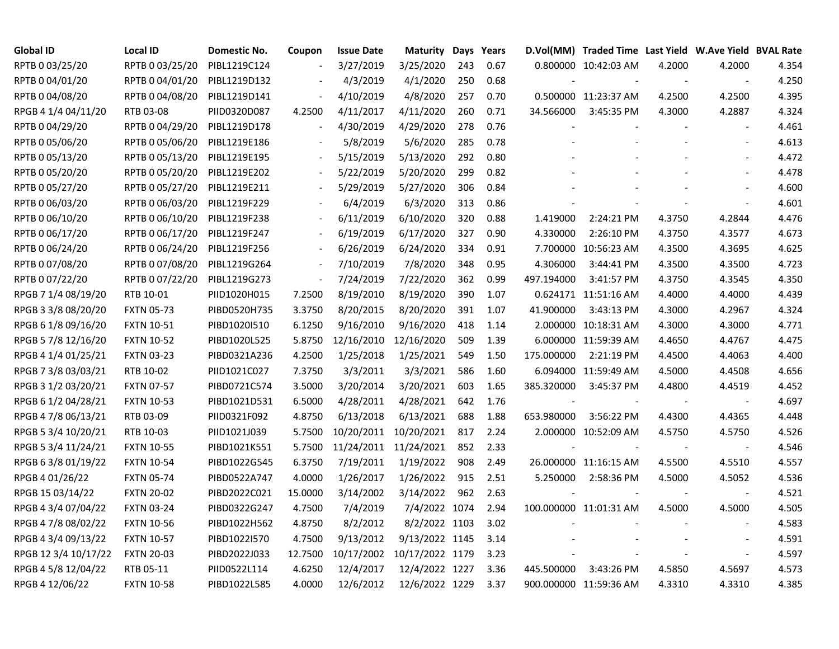| <b>Global ID</b>     | <b>Local ID</b>   | Domestic No. | Coupon  | <b>Issue Date</b>     | Maturity        |     | Days Years |            | D.Vol(MM) Traded Time Last Yield W.Ave Yield BVAL Rate |        |                          |       |
|----------------------|-------------------|--------------|---------|-----------------------|-----------------|-----|------------|------------|--------------------------------------------------------|--------|--------------------------|-------|
| RPTB 0 03/25/20      | RPTB 0 03/25/20   | PIBL1219C124 |         | 3/27/2019             | 3/25/2020       | 243 | 0.67       |            | 0.800000 10:42:03 AM                                   | 4.2000 | 4.2000                   | 4.354 |
| RPTB 0 04/01/20      | RPTB 0 04/01/20   | PIBL1219D132 |         | 4/3/2019              | 4/1/2020        | 250 | 0.68       |            |                                                        |        | $\sim$                   | 4.250 |
| RPTB 0 04/08/20      | RPTB 0 04/08/20   | PIBL1219D141 |         | 4/10/2019             | 4/8/2020        | 257 | 0.70       |            | 0.500000 11:23:37 AM                                   | 4.2500 | 4.2500                   | 4.395 |
| RPGB 4 1/4 04/11/20  | RTB 03-08         | PIID0320D087 | 4.2500  | 4/11/2017             | 4/11/2020       | 260 | 0.71       | 34.566000  | 3:45:35 PM                                             | 4.3000 | 4.2887                   | 4.324 |
| RPTB 0 04/29/20      | RPTB 0 04/29/20   | PIBL1219D178 | $\sim$  | 4/30/2019             | 4/29/2020       | 278 | 0.76       |            |                                                        |        | $\mathbf{r}$             | 4.461 |
| RPTB 0 05/06/20      | RPTB 0 05/06/20   | PIBL1219E186 |         | 5/8/2019              | 5/6/2020        | 285 | 0.78       |            |                                                        |        | $\blacksquare$           | 4.613 |
| RPTB 0 05/13/20      | RPTB 0 05/13/20   | PIBL1219E195 |         | 5/15/2019             | 5/13/2020       | 292 | 0.80       |            |                                                        |        |                          | 4.472 |
| RPTB 0 05/20/20      | RPTB 0 05/20/20   | PIBL1219E202 |         | 5/22/2019             | 5/20/2020       | 299 | 0.82       |            |                                                        |        |                          | 4.478 |
| RPTB 0 05/27/20      | RPTB 0 05/27/20   | PIBL1219E211 |         | 5/29/2019             | 5/27/2020       | 306 | 0.84       |            |                                                        |        |                          | 4.600 |
| RPTB 0 06/03/20      | RPTB 0 06/03/20   | PIBL1219F229 |         | 6/4/2019              | 6/3/2020        | 313 | 0.86       |            |                                                        |        | $\blacksquare$           | 4.601 |
| RPTB 0 06/10/20      | RPTB 0 06/10/20   | PIBL1219F238 |         | 6/11/2019             | 6/10/2020       | 320 | 0.88       | 1.419000   | 2:24:21 PM                                             | 4.3750 | 4.2844                   | 4.476 |
| RPTB 0 06/17/20      | RPTB 0 06/17/20   | PIBL1219F247 |         | 6/19/2019             | 6/17/2020       | 327 | 0.90       | 4.330000   | 2:26:10 PM                                             | 4.3750 | 4.3577                   | 4.673 |
| RPTB 0 06/24/20      | RPTB 0 06/24/20   | PIBL1219F256 |         | 6/26/2019             | 6/24/2020       | 334 | 0.91       |            | 7.700000 10:56:23 AM                                   | 4.3500 | 4.3695                   | 4.625 |
| RPTB 0 07/08/20      | RPTB 0 07/08/20   | PIBL1219G264 |         | 7/10/2019             | 7/8/2020        | 348 | 0.95       | 4.306000   | 3:44:41 PM                                             | 4.3500 | 4.3500                   | 4.723 |
| RPTB 0 07/22/20      | RPTB 0 07/22/20   | PIBL1219G273 |         | 7/24/2019             | 7/22/2020       | 362 | 0.99       | 497.194000 | 3:41:57 PM                                             | 4.3750 | 4.3545                   | 4.350 |
| RPGB 7 1/4 08/19/20  | RTB 10-01         | PIID1020H015 | 7.2500  | 8/19/2010             | 8/19/2020       | 390 | 1.07       |            | 0.624171 11:51:16 AM                                   | 4.4000 | 4.4000                   | 4.439 |
| RPGB 3 3/8 08/20/20  | <b>FXTN 05-73</b> | PIBD0520H735 | 3.3750  | 8/20/2015             | 8/20/2020       | 391 | 1.07       | 41.900000  | 3:43:13 PM                                             | 4.3000 | 4.2967                   | 4.324 |
| RPGB 6 1/8 09/16/20  | <b>FXTN 10-51</b> | PIBD1020I510 | 6.1250  | 9/16/2010             | 9/16/2020       | 418 | 1.14       |            | 2.000000 10:18:31 AM                                   | 4.3000 | 4.3000                   | 4.771 |
| RPGB 5 7/8 12/16/20  | <b>FXTN 10-52</b> | PIBD1020L525 | 5.8750  | 12/16/2010            | 12/16/2020      | 509 | 1.39       |            | 6.000000 11:59:39 AM                                   | 4.4650 | 4.4767                   | 4.475 |
| RPGB 4 1/4 01/25/21  | <b>FXTN 03-23</b> | PIBD0321A236 | 4.2500  | 1/25/2018             | 1/25/2021       | 549 | 1.50       | 175.000000 | 2:21:19 PM                                             | 4.4500 | 4.4063                   | 4.400 |
| RPGB 7 3/8 03/03/21  | RTB 10-02         | PIID1021C027 | 7.3750  | 3/3/2011              | 3/3/2021        | 586 | 1.60       |            | 6.094000 11:59:49 AM                                   | 4.5000 | 4.4508                   | 4.656 |
| RPGB 3 1/2 03/20/21  | <b>FXTN 07-57</b> | PIBD0721C574 | 3.5000  | 3/20/2014             | 3/20/2021       | 603 | 1.65       | 385.320000 | 3:45:37 PM                                             | 4.4800 | 4.4519                   | 4.452 |
| RPGB 6 1/2 04/28/21  | <b>FXTN 10-53</b> | PIBD1021D531 | 6.5000  | 4/28/2011             | 4/28/2021       | 642 | 1.76       |            |                                                        |        | $\overline{\phantom{a}}$ | 4.697 |
| RPGB 4 7/8 06/13/21  | RTB 03-09         | PIID0321F092 | 4.8750  | 6/13/2018             | 6/13/2021       | 688 | 1.88       | 653.980000 | 3:56:22 PM                                             | 4.4300 | 4.4365                   | 4.448 |
| RPGB 5 3/4 10/20/21  | RTB 10-03         | PIID1021J039 | 5.7500  | 10/20/2011            | 10/20/2021      | 817 | 2.24       |            | 2.000000 10:52:09 AM                                   | 4.5750 | 4.5750                   | 4.526 |
| RPGB 5 3/4 11/24/21  | <b>FXTN 10-55</b> | PIBD1021K551 | 5.7500  | 11/24/2011 11/24/2021 |                 | 852 | 2.33       |            |                                                        |        | $\overline{\phantom{a}}$ | 4.546 |
| RPGB 63/801/19/22    | <b>FXTN 10-54</b> | PIBD1022G545 | 6.3750  | 7/19/2011             | 1/19/2022       | 908 | 2.49       |            | 26.000000 11:16:15 AM                                  | 4.5500 | 4.5510                   | 4.557 |
| RPGB 4 01/26/22      | <b>FXTN 05-74</b> | PIBD0522A747 | 4.0000  | 1/26/2017             | 1/26/2022       | 915 | 2.51       | 5.250000   | 2:58:36 PM                                             | 4.5000 | 4.5052                   | 4.536 |
| RPGB 15 03/14/22     | <b>FXTN 20-02</b> | PIBD2022C021 | 15.0000 | 3/14/2002             | 3/14/2022       | 962 | 2.63       |            |                                                        |        | $\sim$                   | 4.521 |
| RPGB 4 3/4 07/04/22  | <b>FXTN 03-24</b> | PIBD0322G247 | 4.7500  | 7/4/2019              | 7/4/2022 1074   |     | 2.94       |            | 100.000000 11:01:31 AM                                 | 4.5000 | 4.5000                   | 4.505 |
| RPGB 4 7/8 08/02/22  | <b>FXTN 10-56</b> | PIBD1022H562 | 4.8750  | 8/2/2012              | 8/2/2022 1103   |     | 3.02       |            |                                                        |        | $\sim$                   | 4.583 |
| RPGB 4 3/4 09/13/22  | <b>FXTN 10-57</b> | PIBD1022I570 | 4.7500  | 9/13/2012             | 9/13/2022 1145  |     | 3.14       |            |                                                        |        | $\overline{a}$           | 4.591 |
| RPGB 12 3/4 10/17/22 | <b>FXTN 20-03</b> | PIBD2022J033 | 12.7500 | 10/17/2002            | 10/17/2022 1179 |     | 3.23       |            |                                                        |        | $\overline{\phantom{a}}$ | 4.597 |
| RPGB 4 5/8 12/04/22  | RTB 05-11         | PIID0522L114 | 4.6250  | 12/4/2017             | 12/4/2022 1227  |     | 3.36       | 445.500000 | 3:43:26 PM                                             | 4.5850 | 4.5697                   | 4.573 |
| RPGB 4 12/06/22      | <b>FXTN 10-58</b> | PIBD1022L585 | 4.0000  | 12/6/2012             | 12/6/2022 1229  |     | 3.37       |            | 900.000000 11:59:36 AM                                 | 4.3310 | 4.3310                   | 4.385 |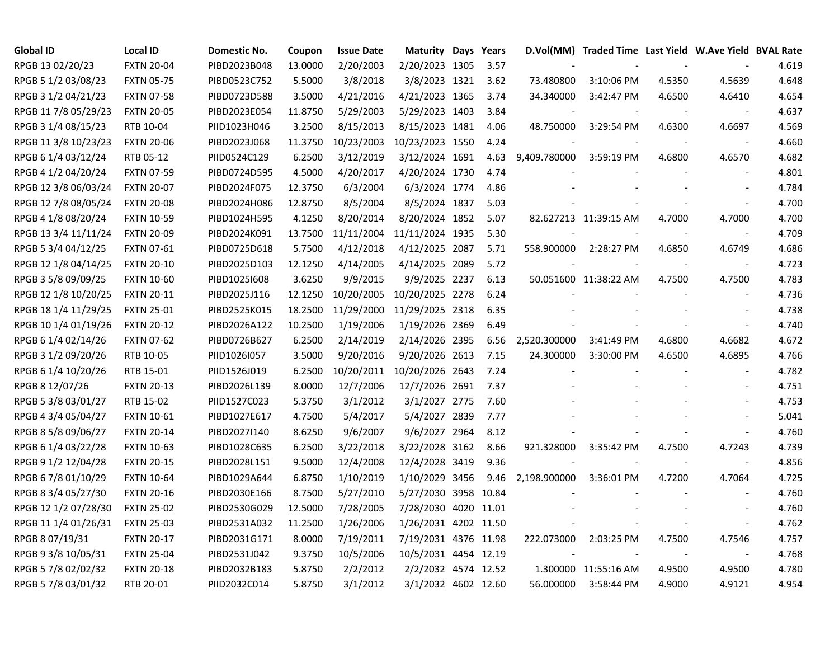| <b>Global ID</b>     | <b>Local ID</b>   | <b>Domestic No.</b> | Coupon  | <b>Issue Date</b> | <b>Maturity Days Years</b> |      |              | D.Vol(MM) Traded Time Last Yield W.Ave Yield BVAL Rate |        |                          |       |
|----------------------|-------------------|---------------------|---------|-------------------|----------------------------|------|--------------|--------------------------------------------------------|--------|--------------------------|-------|
| RPGB 13 02/20/23     | <b>FXTN 20-04</b> | PIBD2023B048        | 13.0000 | 2/20/2003         | 2/20/2023 1305             | 3.57 |              |                                                        |        |                          | 4.619 |
| RPGB 5 1/2 03/08/23  | <b>FXTN 05-75</b> | PIBD0523C752        | 5.5000  | 3/8/2018          | 3/8/2023 1321              | 3.62 | 73.480800    | 3:10:06 PM                                             | 4.5350 | 4.5639                   | 4.648 |
| RPGB 3 1/2 04/21/23  | <b>FXTN 07-58</b> | PIBD0723D588        | 3.5000  | 4/21/2016         | 4/21/2023 1365             | 3.74 | 34.340000    | 3:42:47 PM                                             | 4.6500 | 4.6410                   | 4.654 |
| RPGB 11 7/8 05/29/23 | <b>FXTN 20-05</b> | PIBD2023E054        | 11.8750 | 5/29/2003         | 5/29/2023 1403             | 3.84 |              |                                                        |        |                          | 4.637 |
| RPGB 3 1/4 08/15/23  | RTB 10-04         | PIID1023H046        | 3.2500  | 8/15/2013         | 8/15/2023 1481             | 4.06 | 48.750000    | 3:29:54 PM                                             | 4.6300 | 4.6697                   | 4.569 |
| RPGB 11 3/8 10/23/23 | <b>FXTN 20-06</b> | PIBD2023J068        | 11.3750 | 10/23/2003        | 10/23/2023 1550            | 4.24 |              |                                                        |        | $\overline{\phantom{a}}$ | 4.660 |
| RPGB 6 1/4 03/12/24  | RTB 05-12         | PIID0524C129        | 6.2500  | 3/12/2019         | 3/12/2024 1691             | 4.63 | 9,409.780000 | $3:59:19$ PM                                           | 4.6800 | 4.6570                   | 4.682 |
| RPGB 4 1/2 04/20/24  | <b>FXTN 07-59</b> | PIBD0724D595        | 4.5000  | 4/20/2017         | 4/20/2024 1730             | 4.74 |              |                                                        |        | $\overline{\phantom{a}}$ | 4.801 |
| RPGB 12 3/8 06/03/24 | <b>FXTN 20-07</b> | PIBD2024F075        | 12.3750 | 6/3/2004          | 6/3/2024 1774              | 4.86 |              |                                                        |        |                          | 4.784 |
| RPGB 12 7/8 08/05/24 | <b>FXTN 20-08</b> | PIBD2024H086        | 12.8750 | 8/5/2004          | 8/5/2024 1837              | 5.03 |              |                                                        |        |                          | 4.700 |
| RPGB 4 1/8 08/20/24  | <b>FXTN 10-59</b> | PIBD1024H595        | 4.1250  | 8/20/2014         | 8/20/2024 1852             | 5.07 |              | 82.627213 11:39:15 AM                                  | 4.7000 | 4.7000                   | 4.700 |
| RPGB 13 3/4 11/11/24 | <b>FXTN 20-09</b> | PIBD2024K091        | 13.7500 | 11/11/2004        | 11/11/2024 1935            | 5.30 |              |                                                        |        | $\overline{\phantom{a}}$ | 4.709 |
| RPGB 5 3/4 04/12/25  | <b>FXTN 07-61</b> | PIBD0725D618        | 5.7500  | 4/12/2018         | 4/12/2025 2087             | 5.71 | 558.900000   | 2:28:27 PM                                             | 4.6850 | 4.6749                   | 4.686 |
| RPGB 12 1/8 04/14/25 | <b>FXTN 20-10</b> | PIBD2025D103        | 12.1250 | 4/14/2005         | 4/14/2025 2089             | 5.72 |              |                                                        |        | $\overline{\phantom{a}}$ | 4.723 |
| RPGB 3 5/8 09/09/25  | <b>FXTN 10-60</b> | PIBD10251608        | 3.6250  | 9/9/2015          | 9/9/2025 2237              | 6.13 |              | 50.051600 11:38:22 AM                                  | 4.7500 | 4.7500                   | 4.783 |
| RPGB 12 1/8 10/20/25 | <b>FXTN 20-11</b> | PIBD2025J116        | 12.1250 | 10/20/2005        | 10/20/2025 2278            | 6.24 |              |                                                        |        |                          | 4.736 |
| RPGB 18 1/4 11/29/25 | <b>FXTN 25-01</b> | PIBD2525K015        | 18.2500 | 11/29/2000        | 11/29/2025 2318            | 6.35 |              |                                                        |        |                          | 4.738 |
| RPGB 10 1/4 01/19/26 | <b>FXTN 20-12</b> | PIBD2026A122        | 10.2500 | 1/19/2006         | 1/19/2026 2369             | 6.49 |              |                                                        |        |                          | 4.740 |
| RPGB 6 1/4 02/14/26  | <b>FXTN 07-62</b> | PIBD0726B627        | 6.2500  | 2/14/2019         | 2/14/2026 2395             | 6.56 | 2,520.300000 | 3:41:49 PM                                             | 4.6800 | 4.6682                   | 4.672 |
| RPGB 3 1/2 09/20/26  | RTB 10-05         | PIID1026I057        | 3.5000  | 9/20/2016         | 9/20/2026 2613             | 7.15 | 24.300000    | 3:30:00 PM                                             | 4.6500 | 4.6895                   | 4.766 |
| RPGB 6 1/4 10/20/26  | RTB 15-01         | PIID1526J019        | 6.2500  | 10/20/2011        | 10/20/2026 2643            | 7.24 |              |                                                        |        | $\overline{\phantom{a}}$ | 4.782 |
| RPGB 8 12/07/26      | <b>FXTN 20-13</b> | PIBD2026L139        | 8.0000  | 12/7/2006         | 12/7/2026 2691             | 7.37 |              |                                                        |        |                          | 4.751 |
| RPGB 5 3/8 03/01/27  | RTB 15-02         | PIID1527C023        | 5.3750  | 3/1/2012          | 3/1/2027 2775              | 7.60 |              |                                                        |        |                          | 4.753 |
| RPGB 4 3/4 05/04/27  | <b>FXTN 10-61</b> | PIBD1027E617        | 4.7500  | 5/4/2017          | 5/4/2027 2839              | 7.77 |              |                                                        |        | $\overline{\phantom{a}}$ | 5.041 |
| RPGB 8 5/8 09/06/27  | <b>FXTN 20-14</b> | PIBD2027I140        | 8.6250  | 9/6/2007          | 9/6/2027 2964              | 8.12 |              |                                                        |        | $\blacksquare$           | 4.760 |
| RPGB 6 1/4 03/22/28  | <b>FXTN 10-63</b> | PIBD1028C635        | 6.2500  | 3/22/2018         | 3/22/2028 3162             | 8.66 | 921.328000   | 3:35:42 PM                                             | 4.7500 | 4.7243                   | 4.739 |
| RPGB 9 1/2 12/04/28  | <b>FXTN 20-15</b> | PIBD2028L151        | 9.5000  | 12/4/2008         | 12/4/2028 3419             | 9.36 |              |                                                        |        | $\sim$                   | 4.856 |
| RPGB 6 7/8 01/10/29  | <b>FXTN 10-64</b> | PIBD1029A644        | 6.8750  | 1/10/2019         | 1/10/2029 3456             | 9.46 | 2,198.900000 | 3:36:01 PM                                             | 4.7200 | 4.7064                   | 4.725 |
| RPGB 8 3/4 05/27/30  | <b>FXTN 20-16</b> | PIBD2030E166        | 8.7500  | 5/27/2010         | 5/27/2030 3958 10.84       |      |              |                                                        |        |                          | 4.760 |
| RPGB 12 1/2 07/28/30 | <b>FXTN 25-02</b> | PIBD2530G029        | 12.5000 | 7/28/2005         | 7/28/2030 4020 11.01       |      |              |                                                        |        |                          | 4.760 |
| RPGB 11 1/4 01/26/31 | <b>FXTN 25-03</b> | PIBD2531A032        | 11.2500 | 1/26/2006         | 1/26/2031 4202 11.50       |      |              |                                                        |        | $\overline{\phantom{a}}$ | 4.762 |
| RPGB 8 07/19/31      | <b>FXTN 20-17</b> | PIBD2031G171        | 8.0000  | 7/19/2011         | 7/19/2031 4376 11.98       |      | 222.073000   | 2:03:25 PM                                             | 4.7500 | 4.7546                   | 4.757 |
| RPGB 9 3/8 10/05/31  | <b>FXTN 25-04</b> | PIBD2531J042        | 9.3750  | 10/5/2006         | 10/5/2031 4454 12.19       |      |              |                                                        |        | $\overline{\phantom{a}}$ | 4.768 |
| RPGB 5 7/8 02/02/32  | <b>FXTN 20-18</b> | PIBD2032B183        | 5.8750  | 2/2/2012          | 2/2/2032 4574 12.52        |      |              | 1.300000 11:55:16 AM                                   | 4.9500 | 4.9500                   | 4.780 |
| RPGB 5 7/8 03/01/32  | RTB 20-01         | PIID2032C014        | 5.8750  | 3/1/2012          | 3/1/2032 4602 12.60        |      | 56.000000    | 3:58:44 PM                                             | 4.9000 | 4.9121                   | 4.954 |